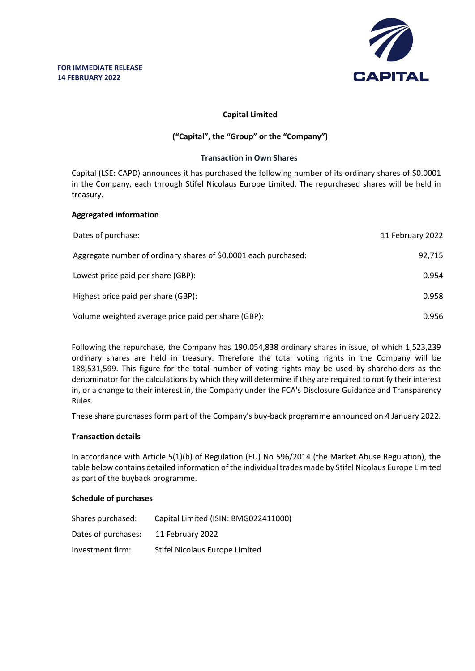

# **Capital Limited**

# **("Capital", the "Group" or the "Company")**

#### **Transaction in Own Shares**

Capital (LSE: CAPD) announces it has purchased the following number of its ordinary shares of \$0.0001 in the Company, each through Stifel Nicolaus Europe Limited. The repurchased shares will be held in treasury.

#### **Aggregated information**

| Dates of purchase:                                              | 11 February 2022 |
|-----------------------------------------------------------------|------------------|
| Aggregate number of ordinary shares of \$0.0001 each purchased: | 92.715           |
| Lowest price paid per share (GBP):                              | 0.954            |
| Highest price paid per share (GBP):                             | 0.958            |
| Volume weighted average price paid per share (GBP):             | 0.956            |

Following the repurchase, the Company has 190,054,838 ordinary shares in issue, of which 1,523,239 ordinary shares are held in treasury. Therefore the total voting rights in the Company will be 188,531,599. This figure for the total number of voting rights may be used by shareholders as the denominator for the calculations by which they will determine if they are required to notify their interest in, or a change to their interest in, the Company under the FCA's Disclosure Guidance and Transparency Rules.

These share purchases form part of the Company's buy-back programme announced on 4 January 2022.

## **Transaction details**

In accordance with Article 5(1)(b) of Regulation (EU) No 596/2014 (the Market Abuse Regulation), the table below contains detailed information of the individual trades made by Stifel Nicolaus Europe Limited as part of the buyback programme.

## **Schedule of purchases**

| Shares purchased:   | Capital Limited (ISIN: BMG022411000) |
|---------------------|--------------------------------------|
| Dates of purchases: | 11 February 2022                     |
| Investment firm:    | Stifel Nicolaus Europe Limited       |